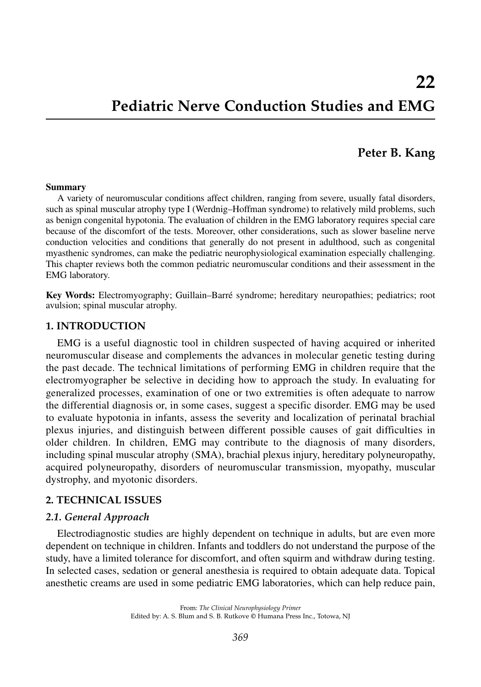## **Peter B. Kang**

#### **Summary**

A variety of neuromuscular conditions affect children, ranging from severe, usually fatal disorders, such as spinal muscular atrophy type I (Werdnig–Hoffman syndrome) to relatively mild problems, such as benign congenital hypotonia. The evaluation of children in the EMG laboratory requires special care because of the discomfort of the tests. Moreover, other considerations, such as slower baseline nerve conduction velocities and conditions that generally do not present in adulthood, such as congenital myasthenic syndromes, can make the pediatric neurophysiological examination especially challenging. This chapter reviews both the common pediatric neuromuscular conditions and their assessment in the EMG laboratory.

**Key Words:** Electromyography; Guillain–Barré syndrome; hereditary neuropathies; pediatrics; root avulsion; spinal muscular atrophy.

## **1. INTRODUCTION**

EMG is a useful diagnostic tool in children suspected of having acquired or inherited neuromuscular disease and complements the advances in molecular genetic testing during the past decade. The technical limitations of performing EMG in children require that the electromyographer be selective in deciding how to approach the study. In evaluating for generalized processes, examination of one or two extremities is often adequate to narrow the differential diagnosis or, in some cases, suggest a specific disorder. EMG may be used to evaluate hypotonia in infants, assess the severity and localization of perinatal brachial plexus injuries, and distinguish between different possible causes of gait difficulties in older children. In children, EMG may contribute to the diagnosis of many disorders, including spinal muscular atrophy (SMA), brachial plexus injury, hereditary polyneuropathy, acquired polyneuropathy, disorders of neuromuscular transmission, myopathy, muscular dystrophy, and myotonic disorders.

#### **2. TECHNICAL ISSUES**

#### *2.1. General Approach*

Electrodiagnostic studies are highly dependent on technique in adults, but are even more dependent on technique in children. Infants and toddlers do not understand the purpose of the study, have a limited tolerance for discomfort, and often squirm and withdraw during testing. In selected cases, sedation or general anesthesia is required to obtain adequate data. Topical anesthetic creams are used in some pediatric EMG laboratories, which can help reduce pain,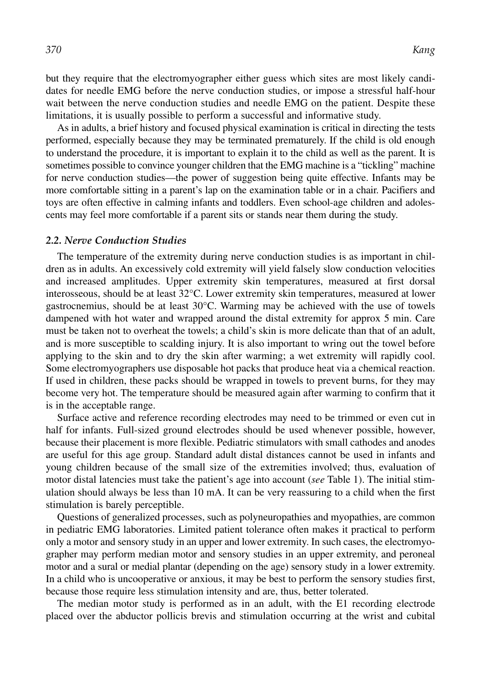but they require that the electromyographer either guess which sites are most likely candidates for needle EMG before the nerve conduction studies, or impose a stressful half-hour wait between the nerve conduction studies and needle EMG on the patient. Despite these limitations, it is usually possible to perform a successful and informative study.

As in adults, a brief history and focused physical examination is critical in directing the tests performed, especially because they may be terminated prematurely. If the child is old enough to understand the procedure, it is important to explain it to the child as well as the parent. It is sometimes possible to convince younger children that the EMG machine is a "tickling" machine for nerve conduction studies—the power of suggestion being quite effective. Infants may be more comfortable sitting in a parent's lap on the examination table or in a chair. Pacifiers and toys are often effective in calming infants and toddlers. Even school-age children and adolescents may feel more comfortable if a parent sits or stands near them during the study.

## *2.2. Nerve Conduction Studies*

The temperature of the extremity during nerve conduction studies is as important in children as in adults. An excessively cold extremity will yield falsely slow conduction velocities and increased amplitudes. Upper extremity skin temperatures, measured at first dorsal interosseous, should be at least 32°C. Lower extremity skin temperatures, measured at lower gastrocnemius, should be at least 30°C. Warming may be achieved with the use of towels dampened with hot water and wrapped around the distal extremity for approx 5 min. Care must be taken not to overheat the towels; a child's skin is more delicate than that of an adult, and is more susceptible to scalding injury. It is also important to wring out the towel before applying to the skin and to dry the skin after warming; a wet extremity will rapidly cool. Some electromyographers use disposable hot packs that produce heat via a chemical reaction. If used in children, these packs should be wrapped in towels to prevent burns, for they may become very hot. The temperature should be measured again after warming to confirm that it is in the acceptable range.

Surface active and reference recording electrodes may need to be trimmed or even cut in half for infants. Full-sized ground electrodes should be used whenever possible, however, because their placement is more flexible. Pediatric stimulators with small cathodes and anodes are useful for this age group. Standard adult distal distances cannot be used in infants and young children because of the small size of the extremities involved; thus, evaluation of motor distal latencies must take the patient's age into account (*see* Table 1). The initial stimulation should always be less than 10 mA. It can be very reassuring to a child when the first stimulation is barely perceptible.

Questions of generalized processes, such as polyneuropathies and myopathies, are common in pediatric EMG laboratories. Limited patient tolerance often makes it practical to perform only a motor and sensory study in an upper and lower extremity. In such cases, the electromyographer may perform median motor and sensory studies in an upper extremity, and peroneal motor and a sural or medial plantar (depending on the age) sensory study in a lower extremity. In a child who is uncooperative or anxious, it may be best to perform the sensory studies first, because those require less stimulation intensity and are, thus, better tolerated.

The median motor study is performed as in an adult, with the E1 recording electrode placed over the abductor pollicis brevis and stimulation occurring at the wrist and cubital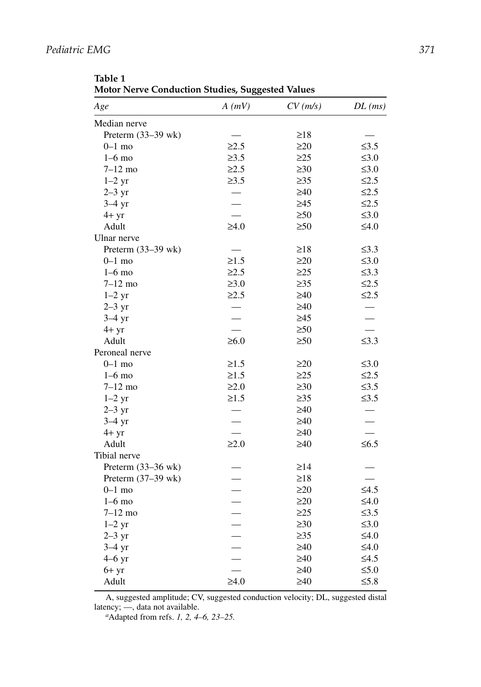**Table 1 Motor Nerve Conduction Studies, Suggested Values** 

| Age                   | $A$ ( $mV$ )             | CV(m/s)   | $DL$ (ms)  |
|-----------------------|--------------------------|-----------|------------|
| Median nerve          |                          |           |            |
| Preterm (33-39 wk)    |                          | $\geq$ 18 |            |
| $0-1$ mo              | $\geq 2.5$               | $\geq$ 20 | $\leq 3.5$ |
| $1-6$ mo              | $\geq 3.5$               | $\geq$ 25 | $\leq 3.0$ |
| $7-12$ mo             | $\geq 2.5$               | $\geq 30$ | $\leq 3.0$ |
| $1-2$ yr              | $\geq 3.5$               | $\geq 35$ | $\leq 2.5$ |
| $2-3$ yr              | $\equiv$                 | $\geq 40$ | $\leq 2.5$ |
| $3-4$ yr              |                          | $\geq 45$ | $\leq 2.5$ |
| $4+$ yr               |                          | $\geq 50$ | $\leq 3.0$ |
| Adult                 | $\geq 4.0$               | $\geq 50$ | $\leq 4.0$ |
| Ulnar nerve           |                          |           |            |
| Preterm (33-39 wk)    |                          | $\geq$ 18 | $\leq$ 3.3 |
| $0-1$ mo              | $\geq1.5$                | $\geq$ 20 | $\leq 3.0$ |
| $1-6$ mo              | $\geq 2.5$               | $\geq$ 25 | $\leq$ 3.3 |
| $7-12$ mo             | $\geq 3.0$               | $\geq 35$ | $\leq 2.5$ |
| $1-2$ yr              | $\geq 2.5$               | $\geq 40$ | $\leq 2.5$ |
| $2-3$ yr              |                          | $\geq 40$ |            |
| $3-4$ yr              |                          | $\geq45$  |            |
| $4+yr$                |                          | $\geq 50$ |            |
| Adult                 | $\geq 6.0$               | $\geq 50$ | $\leq$ 3.3 |
| Peroneal nerve        |                          |           |            |
| $0-1$ mo              | $\geq 1.5$               | $\geq$ 20 | $\leq 3.0$ |
| $1-6$ mo              | $\geq1.5$                | $\geq$ 25 | $\leq$ 2.5 |
| $7 - 12$ mo           | $\geq2.0$                | $\geq 30$ | $\leq 3.5$ |
| $1-2$ yr              | $\geq1.5$                | $\geq 35$ | $≤3.5$     |
| $2-3$ yr              | $\overline{\phantom{0}}$ | $\geq 40$ | $\equiv$   |
| $3-4$ yr              |                          | $\geq 40$ |            |
| $4+$ yr               |                          | $\geq 40$ |            |
| Adult                 | $\geq 2.0$               | $\geq 40$ | $\leq 6.5$ |
| Tibial nerve          |                          |           |            |
| Preterm (33-36 wk)    |                          | ≥14       |            |
| Preterm $(37-39)$ wk) |                          | $\geq 18$ |            |
| $0-1$ mo              |                          | $\geq$ 20 | $\leq4.5$  |
| $1-6$ mo              |                          | $\geq$ 20 | $\leq 4.0$ |
| $7-12$ mo             |                          | $\geq$ 25 | $\leq 3.5$ |
| $1-2$ yr              | $\overline{\phantom{a}}$ | $\geq 30$ | $\leq 3.0$ |
| $2-3$ yr              |                          | $\geq 35$ | $\leq4.0$  |
| $3-4$ yr              |                          | $\geq 40$ | $\leq 4.0$ |
| $4-6$ yr              |                          | $\geq 40$ | $\leq4.5$  |
| $6+$ yr               |                          | $\geq 40$ | $\leq 5.0$ |
| Adult                 | $\geq 4.0$               | $\geq 40$ | $\leq 5.8$ |

A, suggested amplitude; CV, suggested conduction velocity; DL, suggested distal latency; —, data not available.

*<sup>a</sup>*Adapted from refs. *1, 2, 4–6, 23–25.*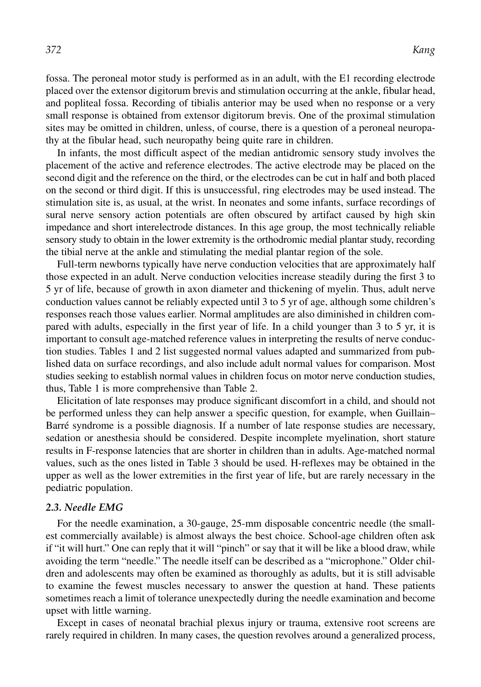fossa. The peroneal motor study is performed as in an adult, with the E1 recording electrode placed over the extensor digitorum brevis and stimulation occurring at the ankle, fibular head, and popliteal fossa. Recording of tibialis anterior may be used when no response or a very small response is obtained from extensor digitorum brevis. One of the proximal stimulation sites may be omitted in children, unless, of course, there is a question of a peroneal neuropathy at the fibular head, such neuropathy being quite rare in children.

In infants, the most difficult aspect of the median antidromic sensory study involves the placement of the active and reference electrodes. The active electrode may be placed on the second digit and the reference on the third, or the electrodes can be cut in half and both placed on the second or third digit. If this is unsuccessful, ring electrodes may be used instead. The stimulation site is, as usual, at the wrist. In neonates and some infants, surface recordings of sural nerve sensory action potentials are often obscured by artifact caused by high skin impedance and short interelectrode distances. In this age group, the most technically reliable sensory study to obtain in the lower extremity is the orthodromic medial plantar study, recording the tibial nerve at the ankle and stimulating the medial plantar region of the sole.

Full-term newborns typically have nerve conduction velocities that are approximately half those expected in an adult. Nerve conduction velocities increase steadily during the first 3 to 5 yr of life, because of growth in axon diameter and thickening of myelin. Thus, adult nerve conduction values cannot be reliably expected until 3 to 5 yr of age, although some children's responses reach those values earlier. Normal amplitudes are also diminished in children compared with adults, especially in the first year of life. In a child younger than 3 to 5 yr, it is important to consult age-matched reference values in interpreting the results of nerve conduction studies. Tables 1 and 2 list suggested normal values adapted and summarized from published data on surface recordings, and also include adult normal values for comparison. Most studies seeking to establish normal values in children focus on motor nerve conduction studies, thus, Table 1 is more comprehensive than Table 2.

Elicitation of late responses may produce significant discomfort in a child, and should not be performed unless they can help answer a specific question, for example, when Guillain– Barré syndrome is a possible diagnosis. If a number of late response studies are necessary, sedation or anesthesia should be considered. Despite incomplete myelination, short stature results in F-response latencies that are shorter in children than in adults. Age-matched normal values, such as the ones listed in Table 3 should be used. H-reflexes may be obtained in the upper as well as the lower extremities in the first year of life, but are rarely necessary in the pediatric population.

## *2.3. Needle EMG*

For the needle examination, a 30-gauge, 25-mm disposable concentric needle (the smallest commercially available) is almost always the best choice. School-age children often ask if "it will hurt." One can reply that it will "pinch" or say that it will be like a blood draw, while avoiding the term "needle." The needle itself can be described as a "microphone." Older children and adolescents may often be examined as thoroughly as adults, but it is still advisable to examine the fewest muscles necessary to answer the question at hand. These patients sometimes reach a limit of tolerance unexpectedly during the needle examination and become upset with little warning.

Except in cases of neonatal brachial plexus injury or trauma, extensive root screens are rarely required in children. In many cases, the question revolves around a generalized process,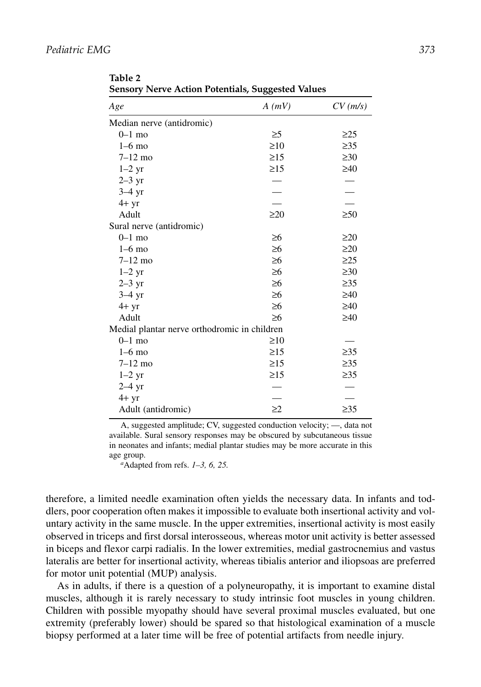| $\mathcal{L}_{\text{2}}$<br>Terre rection recentato, ouggeste randos |              |           |
|----------------------------------------------------------------------|--------------|-----------|
| Age                                                                  | $A$ ( $mV$ ) | CV(m/s)   |
| Median nerve (antidromic)                                            |              |           |
| $0-1$ mo                                                             | $\geq 5$     | $\geq$ 25 |
| $1-6$ mo                                                             | $\geq 10$    | $\geq 35$ |
| $7 - 12$ mo                                                          | $\geq$ 15    | $\geq 30$ |
| $1-2$ yr                                                             | $\geq$ 15    | $\geq 40$ |
| $2-3$ yr                                                             |              |           |
| $3-4$ yr                                                             |              |           |
| $4+$ yr                                                              |              |           |
| Adult                                                                | $\geq$ 20    | $\geq 50$ |
| Sural nerve (antidromic)                                             |              |           |
| $0-1$ mo                                                             | $\geq 6$     | $\geq$ 20 |
| $1-6$ mo                                                             | $\geq 6$     | $\geq 20$ |
| $7 - 12$ mo                                                          | $\geq 6$     | $\geq$ 25 |
| $1-2$ yr                                                             | $\geq 6$     | $\geq 30$ |
| $2-3$ yr                                                             | $\geq 6$     | $\geq 35$ |
| $3-4$ yr                                                             | $\geq 6$     | $\geq 40$ |
| $4+yr$                                                               | $\geq 6$     | $\geq 40$ |
| Adult                                                                | $\geq 6$     | $\geq 40$ |
| Medial plantar nerve orthodromic in children                         |              |           |
| $0-1$ mo                                                             | $\geq 10$    |           |
| $1-6$ mo                                                             | $\geq$ 15    | $\geq 35$ |
| $7-12$ mo                                                            | $\geq$ 15    | $\geq 35$ |
| $1-2$ yr                                                             | $\geq$ 15    | $\geq 35$ |
| $2-4$ yr                                                             |              |           |
| $4+yr$                                                               |              |           |
| Adult (antidromic)                                                   | $\geq$ 2     | $\geq 35$ |

**Table 2 Sensory Nerve Action Potentials, Suggested Values**

A, suggested amplitude; CV, suggested conduction velocity; —, data not available. Sural sensory responses may be obscured by subcutaneous tissue in neonates and infants; medial plantar studies may be more accurate in this age group.

*<sup>a</sup>*Adapted from refs. *1–3, 6, 25.*

therefore, a limited needle examination often yields the necessary data. In infants and toddlers, poor cooperation often makes it impossible to evaluate both insertional activity and voluntary activity in the same muscle. In the upper extremities, insertional activity is most easily observed in triceps and first dorsal interosseous, whereas motor unit activity is better assessed in biceps and flexor carpi radialis. In the lower extremities, medial gastrocnemius and vastus lateralis are better for insertional activity, whereas tibialis anterior and iliopsoas are preferred for motor unit potential (MUP) analysis.

As in adults, if there is a question of a polyneuropathy, it is important to examine distal muscles, although it is rarely necessary to study intrinsic foot muscles in young children. Children with possible myopathy should have several proximal muscles evaluated, but one extremity (preferably lower) should be spared so that histological examination of a muscle biopsy performed at a later time will be free of potential artifacts from needle injury.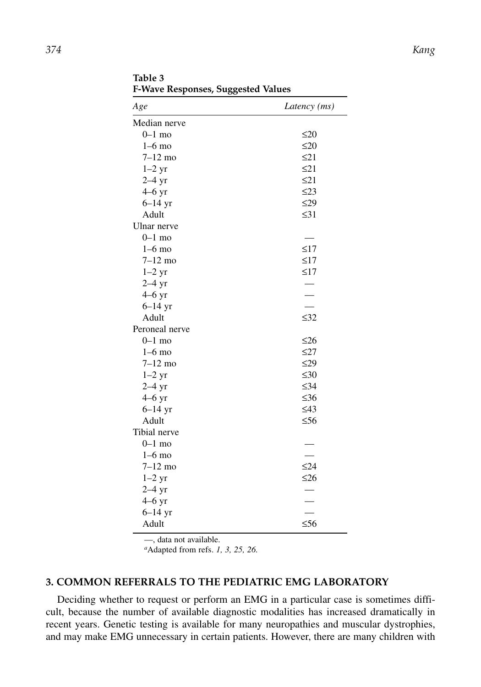| Priare Responses, Suggested values |              |  |  |  |
|------------------------------------|--------------|--|--|--|
| Age                                | Latency (ms) |  |  |  |
| Median nerve                       |              |  |  |  |
| $0-1$ mo                           | $\leq 20$    |  |  |  |
| $1-6$ mo                           | $\leq 20$    |  |  |  |
| $7-12$ mo                          | $\leq$ 21    |  |  |  |
| $1-2$ yr                           | $\leq 21$    |  |  |  |
| $2-4$ yr                           | $\leq$ 21    |  |  |  |
| $4-6$ yr                           | $\leq$ 23    |  |  |  |
| $6-14$ yr                          | $\leq$ 29    |  |  |  |
| Adult                              | $\leq$ 31    |  |  |  |
| Ulnar nerve                        |              |  |  |  |
| $0-1$ mo                           |              |  |  |  |
| $1-6$ mo                           | $\leq17$     |  |  |  |
| $7 - 12$ mo                        | $\leq17$     |  |  |  |
| $1-2$ yr                           | $\leq17$     |  |  |  |
| $2-4$ yr                           |              |  |  |  |
| $4-6$ yr                           |              |  |  |  |
| $6-14$ yr                          |              |  |  |  |
| Adult                              | $\leq 32$    |  |  |  |
| Peroneal nerve                     |              |  |  |  |
| $0-1$ mo                           | $\leq$ 26    |  |  |  |
| $1-6$ mo                           | $\leq$ 27    |  |  |  |
| $7-12$ mo                          | $\leq$ 29    |  |  |  |
| $1-2$ yr                           | $\leq 30$    |  |  |  |
| $2-4$ yr                           | $\leq 34$    |  |  |  |
| $4-6$ yr                           | $\leq 36$    |  |  |  |
| $6-14$ yr                          | $\leq 43$    |  |  |  |
| Adult                              | $\leq 56$    |  |  |  |
| Tibial nerve                       |              |  |  |  |
| $0-1$ mo                           |              |  |  |  |
| $1-6$ mo                           |              |  |  |  |
| $7-12$ mo                          | $\leq$ 24    |  |  |  |
| $1-2$ yr                           | $\leq 26$    |  |  |  |
| $2-4$ yr                           |              |  |  |  |
| $4-6$ yr                           |              |  |  |  |
| $6-14$ yr                          |              |  |  |  |
| Adult                              | $\leq 56$    |  |  |  |

**Table 3 F-Wave Responses, Suggested Values**

—, data not available.

*<sup>a</sup>*Adapted from refs. *1, 3, 25, 26.*

## **3. COMMON REFERRALS TO THE PEDIATRIC EMG LABORATORY**

Deciding whether to request or perform an EMG in a particular case is sometimes difficult, because the number of available diagnostic modalities has increased dramatically in recent years. Genetic testing is available for many neuropathies and muscular dystrophies, and may make EMG unnecessary in certain patients. However, there are many children with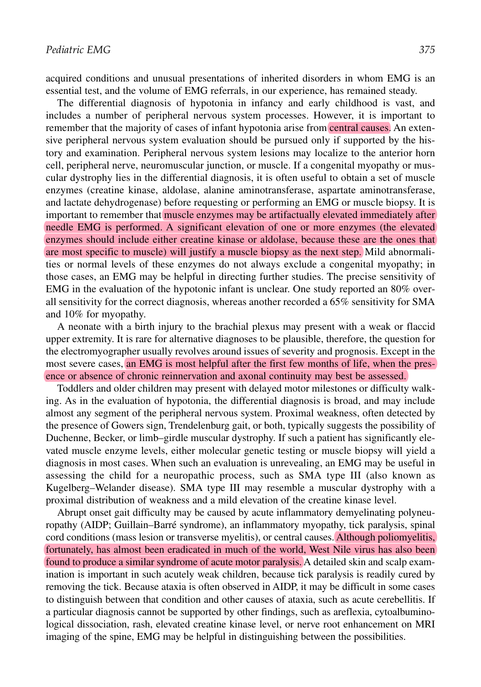acquired conditions and unusual presentations of inherited disorders in whom EMG is an essential test, and the volume of EMG referrals, in our experience, has remained steady.

The differential diagnosis of hypotonia in infancy and early childhood is vast, and includes a number of peripheral nervous system processes. However, it is important to remember that the majority of cases of infant hypotonia arise from central causes. An extensive peripheral nervous system evaluation should be pursued only if supported by the history and examination. Peripheral nervous system lesions may localize to the anterior horn cell, peripheral nerve, neuromuscular junction, or muscle. If a congenital myopathy or muscular dystrophy lies in the differential diagnosis, it is often useful to obtain a set of muscle enzymes (creatine kinase, aldolase, alanine aminotransferase, aspartate aminotransferase, and lactate dehydrogenase) before requesting or performing an EMG or muscle biopsy. It is important to remember that muscle enzymes may be artifactually elevated immediately after needle EMG is performed. A significant elevation of one or more enzymes (the elevated enzymes should include either creatine kinase or aldolase, because these are the ones that are most specific to muscle) will justify a muscle biopsy as the next step. Mild abnormalities or normal levels of these enzymes do not always exclude a congenital myopathy; in those cases, an EMG may be helpful in directing further studies. The precise sensitivity of EMG in the evaluation of the hypotonic infant is unclear. One study reported an 80% overall sensitivity for the correct diagnosis, whereas another recorded a 65% sensitivity for SMA and 10% for myopathy.

A neonate with a birth injury to the brachial plexus may present with a weak or flaccid upper extremity. It is rare for alternative diagnoses to be plausible, therefore, the question for the electromyographer usually revolves around issues of severity and prognosis. Except in the most severe cases, an EMG is most helpful after the first few months of life, when the presence or absence of chronic reinnervation and axonal continuity may best be assessed.

Toddlers and older children may present with delayed motor milestones or difficulty walking. As in the evaluation of hypotonia, the differential diagnosis is broad, and may include almost any segment of the peripheral nervous system. Proximal weakness, often detected by the presence of Gowers sign, Trendelenburg gait, or both, typically suggests the possibility of Duchenne, Becker, or limb–girdle muscular dystrophy. If such a patient has significantly elevated muscle enzyme levels, either molecular genetic testing or muscle biopsy will yield a diagnosis in most cases. When such an evaluation is unrevealing, an EMG may be useful in assessing the child for a neuropathic process, such as SMA type III (also known as Kugelberg–Welander disease). SMA type III may resemble a muscular dystrophy with a proximal distribution of weakness and a mild elevation of the creatine kinase level.

Abrupt onset gait difficulty may be caused by acute inflammatory demyelinating polyneuropathy (AIDP; Guillain–Barré syndrome), an inflammatory myopathy, tick paralysis, spinal cord conditions (mass lesion or transverse myelitis), or central causes. Although poliomyelitis, fortunately, has almost been eradicated in much of the world, West Nile virus has also been found to produce a similar syndrome of acute motor paralysis. A detailed skin and scalp examination is important in such acutely weak children, because tick paralysis is readily cured by removing the tick. Because ataxia is often observed in AIDP, it may be difficult in some cases to distinguish between that condition and other causes of ataxia, such as acute cerebellitis. If a particular diagnosis cannot be supported by other findings, such as areflexia, cytoalbuminological dissociation, rash, elevated creatine kinase level, or nerve root enhancement on MRI imaging of the spine, EMG may be helpful in distinguishing between the possibilities.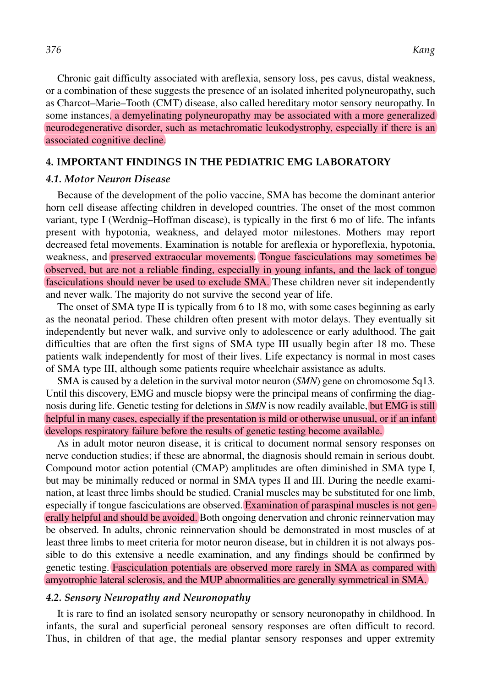Chronic gait difficulty associated with areflexia, sensory loss, pes cavus, distal weakness, or a combination of these suggests the presence of an isolated inherited polyneuropathy, such as Charcot–Marie–Tooth (CMT) disease, also called hereditary motor sensory neuropathy. In some instances, a demyelinating polyneuropathy may be associated with a more generalized neurodegenerative disorder, such as metachromatic leukodystrophy, especially if there is an associated cognitive decline.

## **4. IMPORTANT FINDINGS IN THE PEDIATRIC EMG LABORATORY**

#### *4.1. Motor Neuron Disease*

Because of the development of the polio vaccine, SMA has become the dominant anterior horn cell disease affecting children in developed countries. The onset of the most common variant, type I (Werdnig–Hoffman disease), is typically in the first 6 mo of life. The infants present with hypotonia, weakness, and delayed motor milestones. Mothers may report decreased fetal movements. Examination is notable for areflexia or hyporeflexia, hypotonia, weakness, and preserved extraocular movements. Tongue fasciculations may sometimes be observed, but are not a reliable finding, especially in young infants, and the lack of tongue fasciculations should never be used to exclude SMA. These children never sit independently and never walk. The majority do not survive the second year of life.

The onset of SMA type II is typically from 6 to 18 mo, with some cases beginning as early as the neonatal period. These children often present with motor delays. They eventually sit independently but never walk, and survive only to adolescence or early adulthood. The gait difficulties that are often the first signs of SMA type III usually begin after 18 mo. These patients walk independently for most of their lives. Life expectancy is normal in most cases of SMA type III, although some patients require wheelchair assistance as adults.

SMA is caused by a deletion in the survival motor neuron (*SMN*) gene on chromosome 5q13. Until this discovery, EMG and muscle biopsy were the principal means of confirming the diagnosis during life. Genetic testing for deletions in *SMN* is now readily available, but EMG is still helpful in many cases, especially if the presentation is mild or otherwise unusual, or if an infant develops respiratory failure before the results of genetic testing become available.

As in adult motor neuron disease, it is critical to document normal sensory responses on nerve conduction studies; if these are abnormal, the diagnosis should remain in serious doubt. Compound motor action potential (CMAP) amplitudes are often diminished in SMA type I, but may be minimally reduced or normal in SMA types II and III. During the needle examination, at least three limbs should be studied. Cranial muscles may be substituted for one limb, especially if tongue fasciculations are observed. Examination of paraspinal muscles is not generally helpful and should be avoided. Both ongoing denervation and chronic reinnervation may be observed. In adults, chronic reinnervation should be demonstrated in most muscles of at least three limbs to meet criteria for motor neuron disease, but in children it is not always possible to do this extensive a needle examination, and any findings should be confirmed by genetic testing. Fasciculation potentials are observed more rarely in SMA as compared with amyotrophic lateral sclerosis, and the MUP abnormalities are generally symmetrical in SMA.

## *4.2. Sensory Neuropathy and Neuronopathy*

It is rare to find an isolated sensory neuropathy or sensory neuronopathy in childhood. In infants, the sural and superficial peroneal sensory responses are often difficult to record. Thus, in children of that age, the medial plantar sensory responses and upper extremity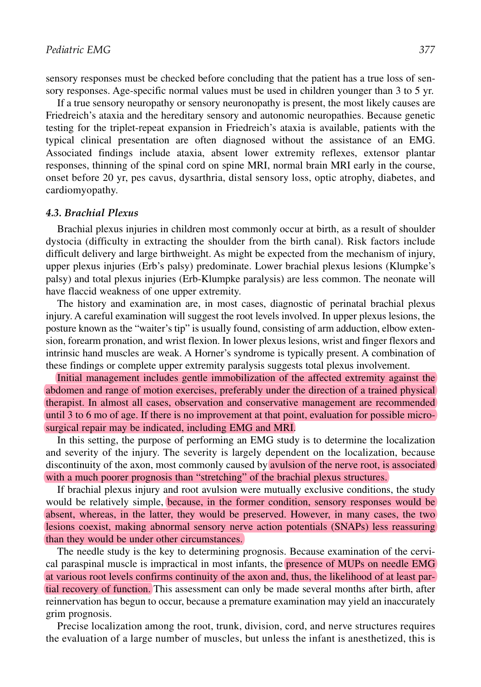sensory responses must be checked before concluding that the patient has a true loss of sensory responses. Age-specific normal values must be used in children younger than 3 to 5 yr.

If a true sensory neuropathy or sensory neuronopathy is present, the most likely causes are Friedreich's ataxia and the hereditary sensory and autonomic neuropathies. Because genetic testing for the triplet-repeat expansion in Friedreich's ataxia is available, patients with the typical clinical presentation are often diagnosed without the assistance of an EMG. Associated findings include ataxia, absent lower extremity reflexes, extensor plantar responses, thinning of the spinal cord on spine MRI, normal brain MRI early in the course, onset before 20 yr, pes cavus, dysarthria, distal sensory loss, optic atrophy, diabetes, and cardiomyopathy.

#### *4.3. Brachial Plexus*

Brachial plexus injuries in children most commonly occur at birth, as a result of shoulder dystocia (difficulty in extracting the shoulder from the birth canal). Risk factors include difficult delivery and large birthweight. As might be expected from the mechanism of injury, upper plexus injuries (Erb's palsy) predominate. Lower brachial plexus lesions (Klumpke's palsy) and total plexus injuries (Erb-Klumpke paralysis) are less common. The neonate will have flaccid weakness of one upper extremity.

The history and examination are, in most cases, diagnostic of perinatal brachial plexus injury. A careful examination will suggest the root levels involved. In upper plexus lesions, the posture known as the "waiter's tip" is usually found, consisting of arm adduction, elbow extension, forearm pronation, and wrist flexion. In lower plexus lesions, wrist and finger flexors and intrinsic hand muscles are weak. A Horner's syndrome is typically present. A combination of these findings or complete upper extremity paralysis suggests total plexus involvement.

Initial management includes gentle immobilization of the affected extremity against the abdomen and range of motion exercises, preferably under the direction of a trained physical therapist. In almost all cases, observation and conservative management are recommended until 3 to 6 mo of age. If there is no improvement at that point, evaluation for possible microsurgical repair may be indicated, including EMG and MRI.

In this setting, the purpose of performing an EMG study is to determine the localization and severity of the injury. The severity is largely dependent on the localization, because discontinuity of the axon, most commonly caused by avulsion of the nerve root, is associated with a much poorer prognosis than "stretching" of the brachial plexus structures.

If brachial plexus injury and root avulsion were mutually exclusive conditions, the study would be relatively simple, because, in the former condition, sensory responses would be absent, whereas, in the latter, they would be preserved. However, in many cases, the two lesions coexist, making abnormal sensory nerve action potentials (SNAPs) less reassuring than they would be under other circumstances.

The needle study is the key to determining prognosis. Because examination of the cervical paraspinal muscle is impractical in most infants, the presence of MUPs on needle EMG at various root levels confirms continuity of the axon and, thus, the likelihood of at least partial recovery of function. This assessment can only be made several months after birth, after reinnervation has begun to occur, because a premature examination may yield an inaccurately grim prognosis.

Precise localization among the root, trunk, division, cord, and nerve structures requires the evaluation of a large number of muscles, but unless the infant is anesthetized, this is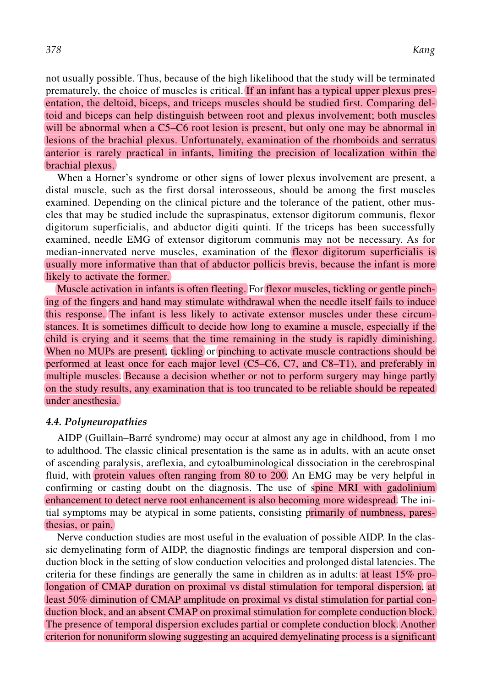not usually possible. Thus, because of the high likelihood that the study will be terminated prematurely, the choice of muscles is critical. If an infant has a typical upper plexus presentation, the deltoid, biceps, and triceps muscles should be studied first. Comparing deltoid and biceps can help distinguish between root and plexus involvement; both muscles will be abnormal when a C5–C6 root lesion is present, but only one may be abnormal in lesions of the brachial plexus. Unfortunately, examination of the rhomboids and serratus anterior is rarely practical in infants, limiting the precision of localization within the brachial plexus.

When a Horner's syndrome or other signs of lower plexus involvement are present, a distal muscle, such as the first dorsal interosseous, should be among the first muscles examined. Depending on the clinical picture and the tolerance of the patient, other muscles that may be studied include the supraspinatus, extensor digitorum communis, flexor digitorum superficialis, and abductor digiti quinti. If the triceps has been successfully examined, needle EMG of extensor digitorum communis may not be necessary. As for median-innervated nerve muscles, examination of the flexor digitorum superficialis is usually more informative than that of abductor pollicis brevis, because the infant is more likely to activate the former.

Muscle activation in infants is often fleeting. For flexor muscles, tickling or gentle pinching of the fingers and hand may stimulate withdrawal when the needle itself fails to induce this response. The infant is less likely to activate extensor muscles under these circumstances. It is sometimes difficult to decide how long to examine a muscle, especially if the child is crying and it seems that the time remaining in the study is rapidly diminishing. When no MUPs are present, tickling or pinching to activate muscle contractions should be performed at least once for each major level (C5–C6, C7, and C8–T1), and preferably in multiple muscles. Because a decision whether or not to perform surgery may hinge partly on the study results, any examination that is too truncated to be reliable should be repeated under anesthesia.

#### *4.4. Polyneuropathies*

AIDP (Guillain–Barré syndrome) may occur at almost any age in childhood, from 1 mo to adulthood. The classic clinical presentation is the same as in adults, with an acute onset of ascending paralysis, areflexia, and cytoalbuminological dissociation in the cerebrospinal fluid, with protein values often ranging from 80 to 200. An EMG may be very helpful in confirming or casting doubt on the diagnosis. The use of spine MRI with gadolinium enhancement to detect nerve root enhancement is also becoming more widespread. The initial symptoms may be atypical in some patients, consisting primarily of numbness, paresthesias, or pain.

Nerve conduction studies are most useful in the evaluation of possible AIDP. In the classic demyelinating form of AIDP, the diagnostic findings are temporal dispersion and conduction block in the setting of slow conduction velocities and prolonged distal latencies. The criteria for these findings are generally the same in children as in adults: at least 15% prolongation of CMAP duration on proximal vs distal stimulation for temporal dispersion, at least 50% diminution of CMAP amplitude on proximal vs distal stimulation for partial conduction block, and an absent CMAP on proximal stimulation for complete conduction block. The presence of temporal dispersion excludes partial or complete conduction block. Another criterion for nonuniform slowing suggesting an acquired demyelinating process is a significant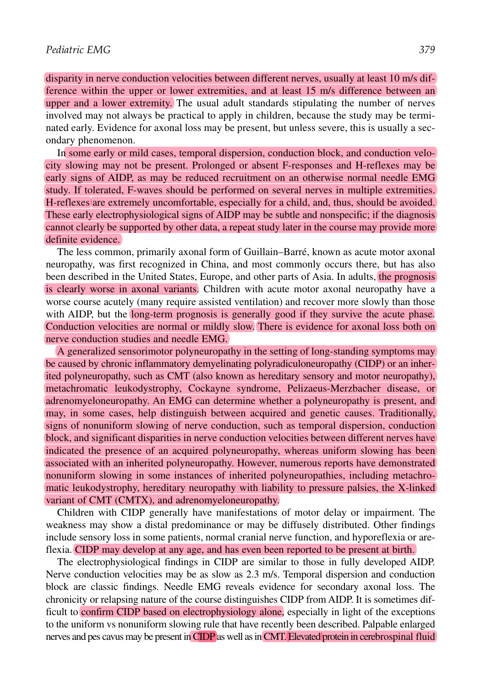disparity in nerve conduction velocities between different nerves, usually at least 10 m/s difference within the upper or lower extremities, and at least 15 m/s difference between an upper and a lower extremity. The usual adult standards stipulating the number of nerves involved may not always be practical to apply in children, because the study may be terminated early. Evidence for axonal loss may be present, but unless severe, this is usually a secondary phenomenon.

In some early or mild cases, temporal dispersion, conduction block, and conduction velocity slowing may not be present. Prolonged or absent F-responses and H-reflexes may be early signs of AIDP, as may be reduced recruitment on an otherwise normal needle EMG study. If tolerated, F-waves should be performed on several nerves in multiple extremities. H-reflexes are extremely uncomfortable, especially for a child, and, thus, should be avoided. These early electrophysiological signs of AIDP may be subtle and nonspecific; if the diagnosis cannot clearly be supported by other data, a repeat study later in the course may provide more definite evidence.

The less common, primarily axonal form of Guillain–Barré, known as acute motor axonal neuropathy, was first recognized in China, and most commonly occurs there, but has also been described in the United States, Europe, and other parts of Asia. In adults, the prognosis is clearly worse in axonal variants. Children with acute motor axonal neuropathy have a worse course acutely (many require assisted ventilation) and recover more slowly than those with AIDP, but the long-term prognosis is generally good if they survive the acute phase. Conduction velocities are normal or mildly slow. There is evidence for axonal loss both on nerve conduction studies and needle EMG.

A generalized sensorimotor polyneuropathy in the setting of long-standing symptoms may be caused by chronic inflammatory demyelinating polyradiculoneuropathy (CIDP) or an inherited polyneuropathy, such as CMT (also known as hereditary sensory and motor neuropathy), metachromatic leukodystrophy, Cockayne syndrome, Pelizaeus-Merzbacher disease, or adrenomyeloneuropathy. An EMG can determine whether a polyneuropathy is present, and may, in some cases, help distinguish between acquired and genetic causes. Traditionally, signs of nonuniform slowing of nerve conduction, such as temporal dispersion, conduction block, and significant disparities in nerve conduction velocities between different nerves have indicated the presence of an acquired polyneuropathy, whereas uniform slowing has been associated with an inherited polyneuropathy. However, numerous reports have demonstrated nonuniform slowing in some instances of inherited polyneuropathies, including metachromatic leukodystrophy, hereditary neuropathy with liability to pressure palsies, the X-linked variant of CMT (CMTX), and adrenomyeloneuropathy.

Children with CIDP generally have manifestations of motor delay or impairment. The weakness may show a distal predominance or may be diffusely distributed. Other findings include sensory loss in some patients, normal cranial nerve function, and hyporeflexia or areflexia. CIDP may develop at any age, and has even been reported to be present at birth.

The electrophysiological findings in CIDP are similar to those in fully developed AIDP. Nerve conduction velocities may be as slow as 2.3 m/s. Temporal dispersion and conduction block are classic findings. Needle EMG reveals evidence for secondary axonal loss. The chronicity or relapsing nature of the course distinguishes CIDP from AIDP. It is sometimes difficult to confirm CIDP based on electrophysiology alone, especially in light of the exceptions to the uniform vs nonuniform slowing rule that have recently been described. Palpable enlarged nerves and pes cavus may be present in CIDP as well as in CMT. Elevated protein in cerebrospinal fluid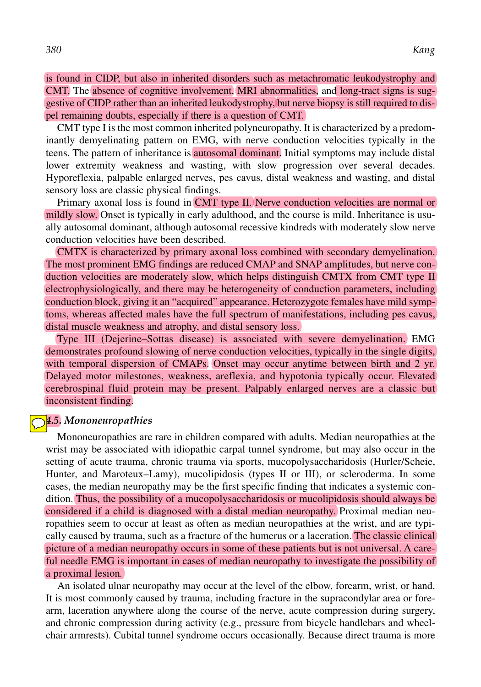is found in CIDP, but also in inherited disorders such as metachromatic leukodystrophy and CMT. The absence of cognitive involvement, MRI abnormalities, and long-tract signs is suggestive of CIDP rather than an inherited leukodystrophy, but nerve biopsy is still required to dispel remaining doubts, especially if there is a question of CMT.

CMT type I is the most common inherited polyneuropathy. It is characterized by a predominantly demyelinating pattern on EMG, with nerve conduction velocities typically in the teens. The pattern of inheritance is autosomal dominant. Initial symptoms may include distal lower extremity weakness and wasting, with slow progression over several decades. Hyporeflexia, palpable enlarged nerves, pes cavus, distal weakness and wasting, and distal sensory loss are classic physical findings.

Primary axonal loss is found in CMT type II. Nerve conduction velocities are normal or mildly slow. Onset is typically in early adulthood, and the course is mild. Inheritance is usually autosomal dominant, although autosomal recessive kindreds with moderately slow nerve conduction velocities have been described.

CMTX is characterized by primary axonal loss combined with secondary demyelination. The most prominent EMG findings are reduced CMAP and SNAP amplitudes, but nerve conduction velocities are moderately slow, which helps distinguish CMTX from CMT type II electrophysiologically, and there may be heterogeneity of conduction parameters, including conduction block, giving it an "acquired" appearance. Heterozygote females have mild symptoms, whereas affected males have the full spectrum of manifestations, including pes cavus, distal muscle weakness and atrophy, and distal sensory loss.

Type III (Dejerine–Sottas disease) is associated with severe demyelination. EMG demonstrates profound slowing of nerve conduction velocities, typically in the single digits, with temporal dispersion of CMAPs. Onset may occur anytime between birth and 2 yr. Delayed motor milestones, weakness, areflexia, and hypotonia typically occur. Elevated cerebrospinal fluid protein may be present. Palpably enlarged nerves are a classic but inconsistent finding.

#### *4.5. Mononeuropathies*

Mononeuropathies are rare in children compared with adults. Median neuropathies at the wrist may be associated with idiopathic carpal tunnel syndrome, but may also occur in the setting of acute trauma, chronic trauma via sports, mucopolysaccharidosis (Hurler/Scheie, Hunter, and Maroteux–Lamy), mucolipidosis (types II or III), or scleroderma. In some cases, the median neuropathy may be the first specific finding that indicates a systemic condition. Thus, the possibility of a mucopolysaccharidosis or mucolipidosis should always be considered if a child is diagnosed with a distal median neuropathy. Proximal median neuropathies seem to occur at least as often as median neuropathies at the wrist, and are typically caused by trauma, such as a fracture of the humerus or a laceration. The classic clinical picture of a median neuropathy occurs in some of these patients but is not universal. A careful needle EMG is important in cases of median neuropathy to investigate the possibility of a proximal lesion*.*

An isolated ulnar neuropathy may occur at the level of the elbow, forearm, wrist, or hand. It is most commonly caused by trauma, including fracture in the supracondylar area or forearm, laceration anywhere along the course of the nerve, acute compression during surgery, and chronic compression during activity (e.g., pressure from bicycle handlebars and wheelchair armrests). Cubital tunnel syndrome occurs occasionally. Because direct trauma is more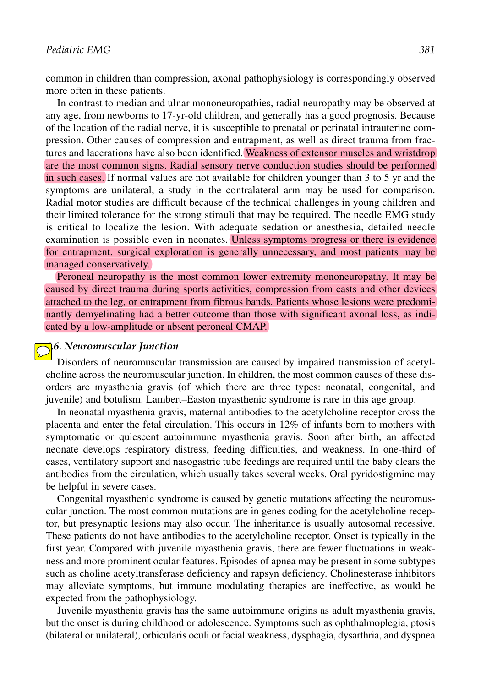common in children than compression, axonal pathophysiology is correspondingly observed more often in these patients.

In contrast to median and ulnar mononeuropathies, radial neuropathy may be observed at any age, from newborns to 17-yr-old children, and generally has a good prognosis. Because of the location of the radial nerve, it is susceptible to prenatal or perinatal intrauterine compression. Other causes of compression and entrapment, as well as direct trauma from fractures and lacerations have also been identified. Weakness of extensor muscles and wristdrop are the most common signs. Radial sensory nerve conduction studies should be performed in such cases. If normal values are not available for children younger than 3 to 5 yr and the symptoms are unilateral, a study in the contralateral arm may be used for comparison. Radial motor studies are difficult because of the technical challenges in young children and their limited tolerance for the strong stimuli that may be required. The needle EMG study is critical to localize the lesion. With adequate sedation or anesthesia, detailed needle examination is possible even in neonates. Unless symptoms progress or there is evidence for entrapment, surgical exploration is generally unnecessary, and most patients may be managed conservatively.

Peroneal neuropathy is the most common lower extremity mononeuropathy. It may be caused by direct trauma during sports activities, compression from casts and other devices attached to the leg, or entrapment from fibrous bands. Patients whose lesions were predominantly demyelinating had a better outcome than those with significant axonal loss, as indicated by a low-amplitude or absent peroneal CMAP.

# *4.6. Neuromuscular Junction*

Disorders of neuromuscular transmission are caused by impaired transmission of acetylcholine across the neuromuscular junction. In children, the most common causes of these disorders are myasthenia gravis (of which there are three types: neonatal, congenital, and juvenile) and botulism. Lambert–Easton myasthenic syndrome is rare in this age group.

In neonatal myasthenia gravis, maternal antibodies to the acetylcholine receptor cross the placenta and enter the fetal circulation. This occurs in 12% of infants born to mothers with symptomatic or quiescent autoimmune myasthenia gravis. Soon after birth, an affected neonate develops respiratory distress, feeding difficulties, and weakness. In one-third of cases, ventilatory support and nasogastric tube feedings are required until the baby clears the antibodies from the circulation, which usually takes several weeks. Oral pyridostigmine may be helpful in severe cases.

Congenital myasthenic syndrome is caused by genetic mutations affecting the neuromuscular junction. The most common mutations are in genes coding for the acetylcholine receptor, but presynaptic lesions may also occur. The inheritance is usually autosomal recessive. These patients do not have antibodies to the acetylcholine receptor. Onset is typically in the first year. Compared with juvenile myasthenia gravis, there are fewer fluctuations in weakness and more prominent ocular features. Episodes of apnea may be present in some subtypes such as choline acetyltransferase deficiency and rapsyn deficiency. Cholinesterase inhibitors may alleviate symptoms, but immune modulating therapies are ineffective, as would be expected from the pathophysiology.

Juvenile myasthenia gravis has the same autoimmune origins as adult myasthenia gravis, but the onset is during childhood or adolescence. Symptoms such as ophthalmoplegia, ptosis (bilateral or unilateral), orbicularis oculi or facial weakness, dysphagia, dysarthria, and dyspnea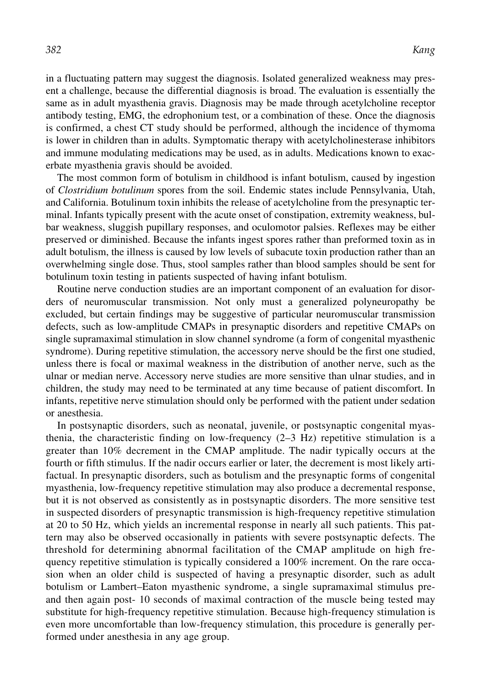in a fluctuating pattern may suggest the diagnosis. Isolated generalized weakness may present a challenge, because the differential diagnosis is broad. The evaluation is essentially the same as in adult myasthenia gravis. Diagnosis may be made through acetylcholine receptor antibody testing, EMG, the edrophonium test, or a combination of these. Once the diagnosis is confirmed, a chest CT study should be performed, although the incidence of thymoma is lower in children than in adults. Symptomatic therapy with acetylcholinesterase inhibitors and immune modulating medications may be used, as in adults. Medications known to exacerbate myasthenia gravis should be avoided.

The most common form of botulism in childhood is infant botulism, caused by ingestion of *Clostridium botulinum* spores from the soil. Endemic states include Pennsylvania, Utah, and California. Botulinum toxin inhibits the release of acetylcholine from the presynaptic terminal. Infants typically present with the acute onset of constipation, extremity weakness, bulbar weakness, sluggish pupillary responses, and oculomotor palsies. Reflexes may be either preserved or diminished. Because the infants ingest spores rather than preformed toxin as in adult botulism, the illness is caused by low levels of subacute toxin production rather than an overwhelming single dose. Thus, stool samples rather than blood samples should be sent for botulinum toxin testing in patients suspected of having infant botulism.

Routine nerve conduction studies are an important component of an evaluation for disorders of neuromuscular transmission. Not only must a generalized polyneuropathy be excluded, but certain findings may be suggestive of particular neuromuscular transmission defects, such as low-amplitude CMAPs in presynaptic disorders and repetitive CMAPs on single supramaximal stimulation in slow channel syndrome (a form of congenital myasthenic syndrome). During repetitive stimulation, the accessory nerve should be the first one studied, unless there is focal or maximal weakness in the distribution of another nerve, such as the ulnar or median nerve. Accessory nerve studies are more sensitive than ulnar studies, and in children, the study may need to be terminated at any time because of patient discomfort. In infants, repetitive nerve stimulation should only be performed with the patient under sedation or anesthesia.

In postsynaptic disorders, such as neonatal, juvenile, or postsynaptic congenital myasthenia, the characteristic finding on low-frequency (2–3 Hz) repetitive stimulation is a greater than 10% decrement in the CMAP amplitude. The nadir typically occurs at the fourth or fifth stimulus. If the nadir occurs earlier or later, the decrement is most likely artifactual. In presynaptic disorders, such as botulism and the presynaptic forms of congenital myasthenia, low-frequency repetitive stimulation may also produce a decremental response, but it is not observed as consistently as in postsynaptic disorders. The more sensitive test in suspected disorders of presynaptic transmission is high-frequency repetitive stimulation at 20 to 50 Hz, which yields an incremental response in nearly all such patients. This pattern may also be observed occasionally in patients with severe postsynaptic defects. The threshold for determining abnormal facilitation of the CMAP amplitude on high frequency repetitive stimulation is typically considered a 100% increment. On the rare occasion when an older child is suspected of having a presynaptic disorder, such as adult botulism or Lambert–Eaton myasthenic syndrome, a single supramaximal stimulus preand then again post- 10 seconds of maximal contraction of the muscle being tested may substitute for high-frequency repetitive stimulation. Because high-frequency stimulation is even more uncomfortable than low-frequency stimulation, this procedure is generally performed under anesthesia in any age group.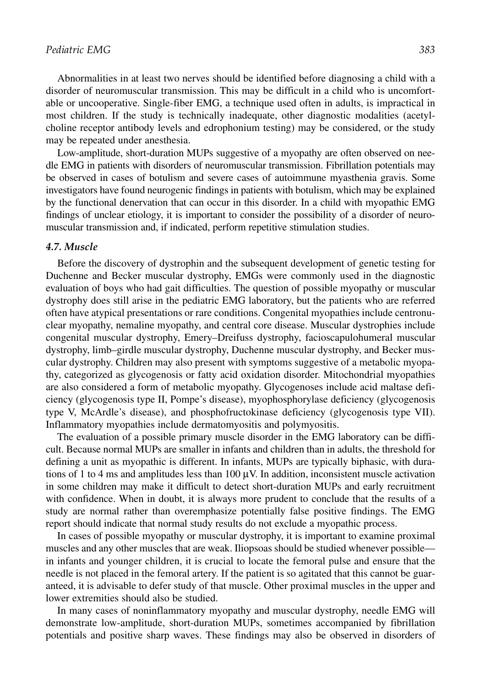Abnormalities in at least two nerves should be identified before diagnosing a child with a disorder of neuromuscular transmission. This may be difficult in a child who is uncomfortable or uncooperative. Single-fiber EMG, a technique used often in adults, is impractical in most children. If the study is technically inadequate, other diagnostic modalities (acetylcholine receptor antibody levels and edrophonium testing) may be considered, or the study may be repeated under anesthesia.

Low-amplitude, short-duration MUPs suggestive of a myopathy are often observed on needle EMG in patients with disorders of neuromuscular transmission. Fibrillation potentials may be observed in cases of botulism and severe cases of autoimmune myasthenia gravis. Some investigators have found neurogenic findings in patients with botulism, which may be explained by the functional denervation that can occur in this disorder. In a child with myopathic EMG findings of unclear etiology, it is important to consider the possibility of a disorder of neuromuscular transmission and, if indicated, perform repetitive stimulation studies.

## *4.7. Muscle*

Before the discovery of dystrophin and the subsequent development of genetic testing for Duchenne and Becker muscular dystrophy, EMGs were commonly used in the diagnostic evaluation of boys who had gait difficulties. The question of possible myopathy or muscular dystrophy does still arise in the pediatric EMG laboratory, but the patients who are referred often have atypical presentations or rare conditions. Congenital myopathies include centronuclear myopathy, nemaline myopathy, and central core disease. Muscular dystrophies include congenital muscular dystrophy, Emery–Dreifuss dystrophy, facioscapulohumeral muscular dystrophy, limb–girdle muscular dystrophy, Duchenne muscular dystrophy, and Becker muscular dystrophy. Children may also present with symptoms suggestive of a metabolic myopathy, categorized as glycogenosis or fatty acid oxidation disorder. Mitochondrial myopathies are also considered a form of metabolic myopathy. Glycogenoses include acid maltase deficiency (glycogenosis type II, Pompe's disease), myophosphorylase deficiency (glycogenosis type V, McArdle's disease), and phosphofructokinase deficiency (glycogenosis type VII). Inflammatory myopathies include dermatomyositis and polymyositis.

The evaluation of a possible primary muscle disorder in the EMG laboratory can be difficult. Because normal MUPs are smaller in infants and children than in adults, the threshold for defining a unit as myopathic is different. In infants, MUPs are typically biphasic, with durations of 1 to 4 ms and amplitudes less than  $100 \mu$ V. In addition, inconsistent muscle activation in some children may make it difficult to detect short-duration MUPs and early recruitment with confidence. When in doubt, it is always more prudent to conclude that the results of a study are normal rather than overemphasize potentially false positive findings. The EMG report should indicate that normal study results do not exclude a myopathic process.

In cases of possible myopathy or muscular dystrophy, it is important to examine proximal muscles and any other muscles that are weak. Iliopsoas should be studied whenever possible in infants and younger children, it is crucial to locate the femoral pulse and ensure that the needle is not placed in the femoral artery. If the patient is so agitated that this cannot be guaranteed, it is advisable to defer study of that muscle. Other proximal muscles in the upper and lower extremities should also be studied.

In many cases of noninflammatory myopathy and muscular dystrophy, needle EMG will demonstrate low-amplitude, short-duration MUPs, sometimes accompanied by fibrillation potentials and positive sharp waves. These findings may also be observed in disorders of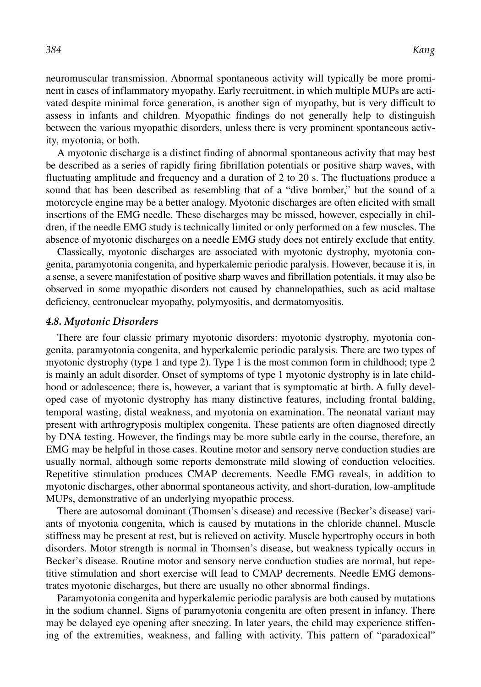neuromuscular transmission. Abnormal spontaneous activity will typically be more prominent in cases of inflammatory myopathy. Early recruitment, in which multiple MUPs are activated despite minimal force generation, is another sign of myopathy, but is very difficult to assess in infants and children. Myopathic findings do not generally help to distinguish between the various myopathic disorders, unless there is very prominent spontaneous activity, myotonia, or both.

A myotonic discharge is a distinct finding of abnormal spontaneous activity that may best be described as a series of rapidly firing fibrillation potentials or positive sharp waves, with fluctuating amplitude and frequency and a duration of 2 to 20 s. The fluctuations produce a sound that has been described as resembling that of a "dive bomber," but the sound of a motorcycle engine may be a better analogy. Myotonic discharges are often elicited with small insertions of the EMG needle. These discharges may be missed, however, especially in children, if the needle EMG study is technically limited or only performed on a few muscles. The absence of myotonic discharges on a needle EMG study does not entirely exclude that entity.

Classically, myotonic discharges are associated with myotonic dystrophy, myotonia congenita, paramyotonia congenita, and hyperkalemic periodic paralysis. However, because it is, in a sense, a severe manifestation of positive sharp waves and fibrillation potentials, it may also be observed in some myopathic disorders not caused by channelopathies, such as acid maltase deficiency, centronuclear myopathy, polymyositis, and dermatomyositis.

#### *4.8. Myotonic Disorders*

There are four classic primary myotonic disorders: myotonic dystrophy, myotonia congenita, paramyotonia congenita, and hyperkalemic periodic paralysis. There are two types of myotonic dystrophy (type 1 and type 2). Type 1 is the most common form in childhood; type 2 is mainly an adult disorder. Onset of symptoms of type 1 myotonic dystrophy is in late childhood or adolescence; there is, however, a variant that is symptomatic at birth. A fully developed case of myotonic dystrophy has many distinctive features, including frontal balding, temporal wasting, distal weakness, and myotonia on examination. The neonatal variant may present with arthrogryposis multiplex congenita. These patients are often diagnosed directly by DNA testing. However, the findings may be more subtle early in the course, therefore, an EMG may be helpful in those cases. Routine motor and sensory nerve conduction studies are usually normal, although some reports demonstrate mild slowing of conduction velocities. Repetitive stimulation produces CMAP decrements. Needle EMG reveals, in addition to myotonic discharges, other abnormal spontaneous activity, and short-duration, low-amplitude MUPs, demonstrative of an underlying myopathic process.

There are autosomal dominant (Thomsen's disease) and recessive (Becker's disease) variants of myotonia congenita, which is caused by mutations in the chloride channel. Muscle stiffness may be present at rest, but is relieved on activity. Muscle hypertrophy occurs in both disorders. Motor strength is normal in Thomsen's disease, but weakness typically occurs in Becker's disease. Routine motor and sensory nerve conduction studies are normal, but repetitive stimulation and short exercise will lead to CMAP decrements. Needle EMG demonstrates myotonic discharges, but there are usually no other abnormal findings.

Paramyotonia congenita and hyperkalemic periodic paralysis are both caused by mutations in the sodium channel. Signs of paramyotonia congenita are often present in infancy. There may be delayed eye opening after sneezing. In later years, the child may experience stiffening of the extremities, weakness, and falling with activity. This pattern of "paradoxical"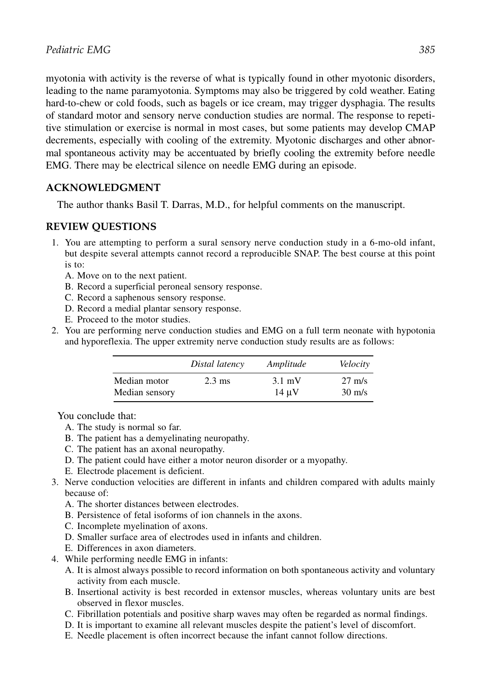myotonia with activity is the reverse of what is typically found in other myotonic disorders, leading to the name paramyotonia. Symptoms may also be triggered by cold weather. Eating hard-to-chew or cold foods, such as bagels or ice cream, may trigger dysphagia. The results of standard motor and sensory nerve conduction studies are normal. The response to repetitive stimulation or exercise is normal in most cases, but some patients may develop CMAP decrements, especially with cooling of the extremity. Myotonic discharges and other abnormal spontaneous activity may be accentuated by briefly cooling the extremity before needle EMG. There may be electrical silence on needle EMG during an episode.

## **ACKNOWLEDGMENT**

The author thanks Basil T. Darras, M.D., for helpful comments on the manuscript.

## **REVIEW QUESTIONS**

- 1. You are attempting to perform a sural sensory nerve conduction study in a 6-mo-old infant, but despite several attempts cannot record a reproducible SNAP. The best course at this point is to:
	- A. Move on to the next patient.
	- B. Record a superficial peroneal sensory response.
	- C. Record a saphenous sensory response.
	- D. Record a medial plantar sensory response.
	- E. Proceed to the motor studies.
- 2. You are performing nerve conduction studies and EMG on a full term neonate with hypotonia and hyporeflexia. The upper extremity nerve conduction study results are as follows:

|                | Distal latency   | Amplitude        | Velocity         |
|----------------|------------------|------------------|------------------|
| Median motor   | $2.3 \text{ ms}$ | $3.1 \text{ mV}$ | $27 \text{ m/s}$ |
| Median sensory |                  | 14 µV            | $30 \text{ m/s}$ |

You conclude that:

- A. The study is normal so far.
- B. The patient has a demyelinating neuropathy.
- C. The patient has an axonal neuropathy.
- D. The patient could have either a motor neuron disorder or a myopathy.
- E. Electrode placement is deficient.
- 3. Nerve conduction velocities are different in infants and children compared with adults mainly because of:
	- A. The shorter distances between electrodes.
	- B. Persistence of fetal isoforms of ion channels in the axons.
	- C. Incomplete myelination of axons.
	- D. Smaller surface area of electrodes used in infants and children.
	- E. Differences in axon diameters.
- 4. While performing needle EMG in infants:
	- A. It is almost always possible to record information on both spontaneous activity and voluntary activity from each muscle.
	- B. Insertional activity is best recorded in extensor muscles, whereas voluntary units are best observed in flexor muscles.
	- C. Fibrillation potentials and positive sharp waves may often be regarded as normal findings.
	- D. It is important to examine all relevant muscles despite the patient's level of discomfort.
	- E. Needle placement is often incorrect because the infant cannot follow directions.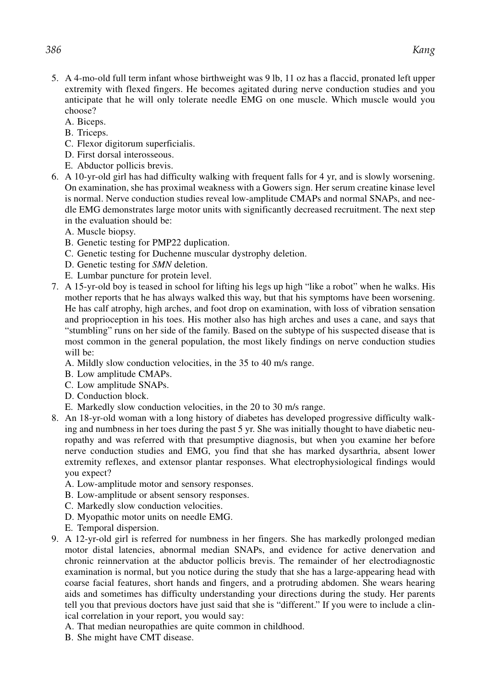- 5. A 4-mo-old full term infant whose birthweight was 9 lb, 11 oz has a flaccid, pronated left upper extremity with flexed fingers. He becomes agitated during nerve conduction studies and you anticipate that he will only tolerate needle EMG on one muscle. Which muscle would you choose?
	- A. Biceps.
	- B. Triceps.
	- C. Flexor digitorum superficialis.
	- D. First dorsal interosseous.
	- E. Abductor pollicis brevis.
- 6. A 10-yr-old girl has had difficulty walking with frequent falls for 4 yr, and is slowly worsening. On examination, she has proximal weakness with a Gowers sign. Her serum creatine kinase level is normal. Nerve conduction studies reveal low-amplitude CMAPs and normal SNAPs, and needle EMG demonstrates large motor units with significantly decreased recruitment. The next step in the evaluation should be:
	- A. Muscle biopsy.
	- B. Genetic testing for PMP22 duplication.
	- C. Genetic testing for Duchenne muscular dystrophy deletion.
	- D. Genetic testing for *SMN* deletion.
	- E. Lumbar puncture for protein level.
- 7. A 15-yr-old boy is teased in school for lifting his legs up high "like a robot" when he walks. His mother reports that he has always walked this way, but that his symptoms have been worsening. He has calf atrophy, high arches, and foot drop on examination, with loss of vibration sensation and proprioception in his toes. His mother also has high arches and uses a cane, and says that "stumbling" runs on her side of the family. Based on the subtype of his suspected disease that is most common in the general population, the most likely findings on nerve conduction studies will be:
	- A. Mildly slow conduction velocities, in the 35 to 40 m/s range.
	- B. Low amplitude CMAPs.
	- C. Low amplitude SNAPs.
	- D. Conduction block.
	- E. Markedly slow conduction velocities, in the 20 to 30 m/s range.
- 8. An 18-yr-old woman with a long history of diabetes has developed progressive difficulty walking and numbness in her toes during the past 5 yr. She was initially thought to have diabetic neuropathy and was referred with that presumptive diagnosis, but when you examine her before nerve conduction studies and EMG, you find that she has marked dysarthria, absent lower extremity reflexes, and extensor plantar responses. What electrophysiological findings would you expect?
	- A. Low-amplitude motor and sensory responses.
	- B. Low-amplitude or absent sensory responses.
	- C. Markedly slow conduction velocities.
	- D. Myopathic motor units on needle EMG.
	- E. Temporal dispersion.
- 9. A 12-yr-old girl is referred for numbness in her fingers. She has markedly prolonged median motor distal latencies, abnormal median SNAPs, and evidence for active denervation and chronic reinnervation at the abductor pollicis brevis. The remainder of her electrodiagnostic examination is normal, but you notice during the study that she has a large-appearing head with coarse facial features, short hands and fingers, and a protruding abdomen. She wears hearing aids and sometimes has difficulty understanding your directions during the study. Her parents tell you that previous doctors have just said that she is "different." If you were to include a clinical correlation in your report, you would say:
	- A. That median neuropathies are quite common in childhood.
	- B. She might have CMT disease.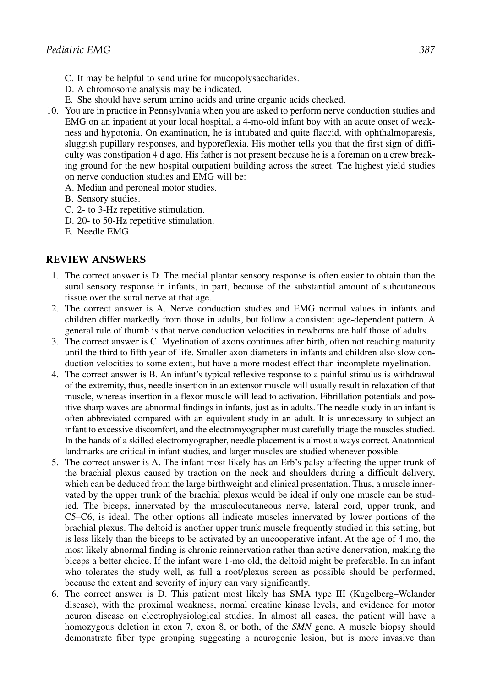- C. It may be helpful to send urine for mucopolysaccharides.
- D. A chromosome analysis may be indicated.
- E. She should have serum amino acids and urine organic acids checked.
- 10. You are in practice in Pennsylvania when you are asked to perform nerve conduction studies and EMG on an inpatient at your local hospital, a 4-mo-old infant boy with an acute onset of weakness and hypotonia. On examination, he is intubated and quite flaccid, with ophthalmoparesis, sluggish pupillary responses, and hyporeflexia. His mother tells you that the first sign of difficulty was constipation 4 d ago. His father is not present because he is a foreman on a crew breaking ground for the new hospital outpatient building across the street. The highest yield studies on nerve conduction studies and EMG will be:
	- A. Median and peroneal motor studies.
	- B. Sensory studies.
	- C. 2- to 3-Hz repetitive stimulation.
	- D. 20- to 50-Hz repetitive stimulation.
	- E. Needle EMG.

## **REVIEW ANSWERS**

- 1. The correct answer is D. The medial plantar sensory response is often easier to obtain than the sural sensory response in infants, in part, because of the substantial amount of subcutaneous tissue over the sural nerve at that age.
- 2. The correct answer is A. Nerve conduction studies and EMG normal values in infants and children differ markedly from those in adults, but follow a consistent age-dependent pattern. A general rule of thumb is that nerve conduction velocities in newborns are half those of adults.
- 3. The correct answer is C. Myelination of axons continues after birth, often not reaching maturity until the third to fifth year of life. Smaller axon diameters in infants and children also slow conduction velocities to some extent, but have a more modest effect than incomplete myelination.
- 4. The correct answer is B. An infant's typical reflexive response to a painful stimulus is withdrawal of the extremity, thus, needle insertion in an extensor muscle will usually result in relaxation of that muscle, whereas insertion in a flexor muscle will lead to activation. Fibrillation potentials and positive sharp waves are abnormal findings in infants, just as in adults. The needle study in an infant is often abbreviated compared with an equivalent study in an adult. It is unnecessary to subject an infant to excessive discomfort, and the electromyographer must carefully triage the muscles studied. In the hands of a skilled electromyographer, needle placement is almost always correct. Anatomical landmarks are critical in infant studies, and larger muscles are studied whenever possible.
- 5. The correct answer is A. The infant most likely has an Erb's palsy affecting the upper trunk of the brachial plexus caused by traction on the neck and shoulders during a difficult delivery, which can be deduced from the large birthweight and clinical presentation. Thus, a muscle innervated by the upper trunk of the brachial plexus would be ideal if only one muscle can be studied. The biceps, innervated by the musculocutaneous nerve, lateral cord, upper trunk, and C5–C6, is ideal. The other options all indicate muscles innervated by lower portions of the brachial plexus. The deltoid is another upper trunk muscle frequently studied in this setting, but is less likely than the biceps to be activated by an uncooperative infant. At the age of 4 mo, the most likely abnormal finding is chronic reinnervation rather than active denervation, making the biceps a better choice. If the infant were 1-mo old, the deltoid might be preferable. In an infant who tolerates the study well, as full a root/plexus screen as possible should be performed, because the extent and severity of injury can vary significantly.
- 6. The correct answer is D. This patient most likely has SMA type III (Kugelberg–Welander disease), with the proximal weakness, normal creatine kinase levels, and evidence for motor neuron disease on electrophysiological studies. In almost all cases, the patient will have a homozygous deletion in exon 7, exon 8, or both, of the *SMN* gene. A muscle biopsy should demonstrate fiber type grouping suggesting a neurogenic lesion, but is more invasive than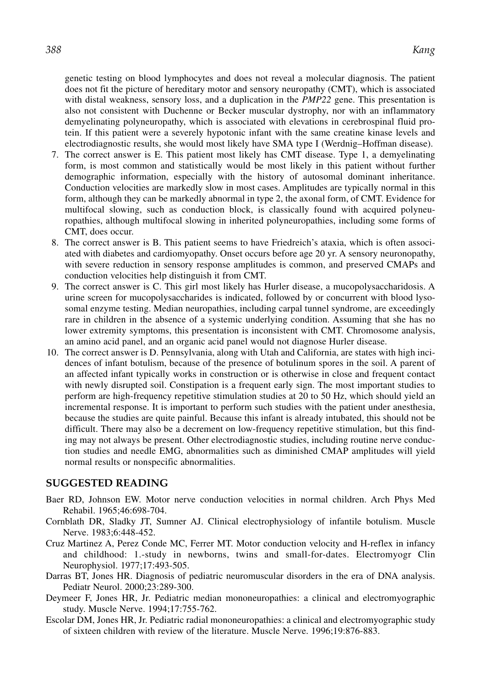genetic testing on blood lymphocytes and does not reveal a molecular diagnosis. The patient does not fit the picture of hereditary motor and sensory neuropathy (CMT), which is associated with distal weakness, sensory loss, and a duplication in the *PMP22* gene. This presentation is also not consistent with Duchenne or Becker muscular dystrophy, nor with an inflammatory demyelinating polyneuropathy, which is associated with elevations in cerebrospinal fluid protein. If this patient were a severely hypotonic infant with the same creatine kinase levels and electrodiagnostic results, she would most likely have SMA type I (Werdnig–Hoffman disease).

- 7. The correct answer is E. This patient most likely has CMT disease. Type 1, a demyelinating form, is most common and statistically would be most likely in this patient without further demographic information, especially with the history of autosomal dominant inheritance. Conduction velocities are markedly slow in most cases. Amplitudes are typically normal in this form, although they can be markedly abnormal in type 2, the axonal form, of CMT. Evidence for multifocal slowing, such as conduction block, is classically found with acquired polyneuropathies, although multifocal slowing in inherited polyneuropathies, including some forms of CMT, does occur.
- 8. The correct answer is B. This patient seems to have Friedreich's ataxia, which is often associated with diabetes and cardiomyopathy. Onset occurs before age 20 yr. A sensory neuronopathy, with severe reduction in sensory response amplitudes is common, and preserved CMAPs and conduction velocities help distinguish it from CMT.
- 9. The correct answer is C. This girl most likely has Hurler disease, a mucopolysaccharidosis. A urine screen for mucopolysaccharides is indicated, followed by or concurrent with blood lysosomal enzyme testing. Median neuropathies, including carpal tunnel syndrome, are exceedingly rare in children in the absence of a systemic underlying condition. Assuming that she has no lower extremity symptoms, this presentation is inconsistent with CMT. Chromosome analysis, an amino acid panel, and an organic acid panel would not diagnose Hurler disease.
- 10. The correct answer is D. Pennsylvania, along with Utah and California, are states with high incidences of infant botulism, because of the presence of botulinum spores in the soil. A parent of an affected infant typically works in construction or is otherwise in close and frequent contact with newly disrupted soil. Constipation is a frequent early sign. The most important studies to perform are high-frequency repetitive stimulation studies at 20 to 50 Hz, which should yield an incremental response. It is important to perform such studies with the patient under anesthesia, because the studies are quite painful. Because this infant is already intubated, this should not be difficult. There may also be a decrement on low-frequency repetitive stimulation, but this finding may not always be present. Other electrodiagnostic studies, including routine nerve conduction studies and needle EMG, abnormalities such as diminished CMAP amplitudes will yield normal results or nonspecific abnormalities.

## **SUGGESTED READING**

- Baer RD, Johnson EW. Motor nerve conduction velocities in normal children. Arch Phys Med Rehabil. 1965;46:698-704.
- Cornblath DR, Sladky JT, Sumner AJ. Clinical electrophysiology of infantile botulism. Muscle Nerve. 1983;6:448-452.
- Cruz Martinez A, Perez Conde MC, Ferrer MT. Motor conduction velocity and H-reflex in infancy and childhood: 1.-study in newborns, twins and small-for-dates. Electromyogr Clin Neurophysiol. 1977;17:493-505.
- Darras BT, Jones HR. Diagnosis of pediatric neuromuscular disorders in the era of DNA analysis. Pediatr Neurol. 2000;23:289-300.
- Deymeer F, Jones HR, Jr. Pediatric median mononeuropathies: a clinical and electromyographic study. Muscle Nerve. 1994;17:755-762.
- Escolar DM, Jones HR, Jr. Pediatric radial mononeuropathies: a clinical and electromyographic study of sixteen children with review of the literature. Muscle Nerve. 1996;19:876-883.